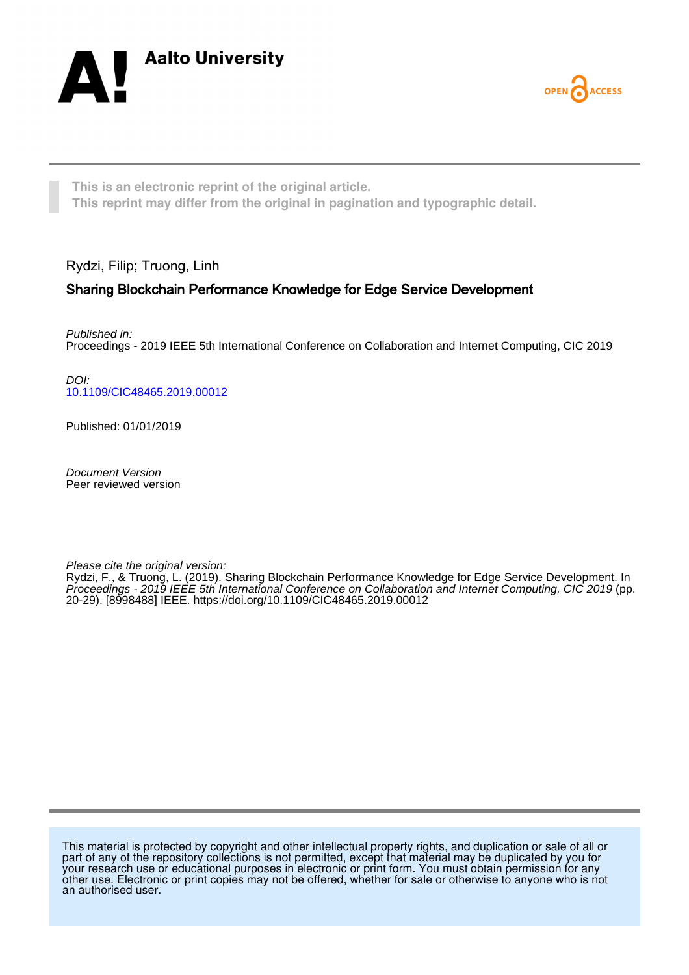



**This is an electronic reprint of the original article. This reprint may differ from the original in pagination and typographic detail.**

Rydzi, Filip; Truong, Linh

# Sharing Blockchain Performance Knowledge for Edge Service Development

Published in: Proceedings - 2019 IEEE 5th International Conference on Collaboration and Internet Computing, CIC 2019

DOI: [10.1109/CIC48465.2019.00012](https://doi.org/10.1109/CIC48465.2019.00012)

Published: 01/01/2019

Document Version Peer reviewed version

Please cite the original version:

Rydzi, F., & Truong, L. (2019). Sharing Blockchain Performance Knowledge for Edge Service Development. In Proceedings - 2019 IEEE 5th International Conference on Collaboration and Internet Computing, CIC 2019 (pp. 20-29). [8998488] IEEE.<https://doi.org/10.1109/CIC48465.2019.00012>

This material is protected by copyright and other intellectual property rights, and duplication or sale of all or part of any of the repository collections is not permitted, except that material may be duplicated by you for your research use or educational purposes in electronic or print form. You must obtain permission for any other use. Electronic or print copies may not be offered, whether for sale or otherwise to anyone who is not an authorised user.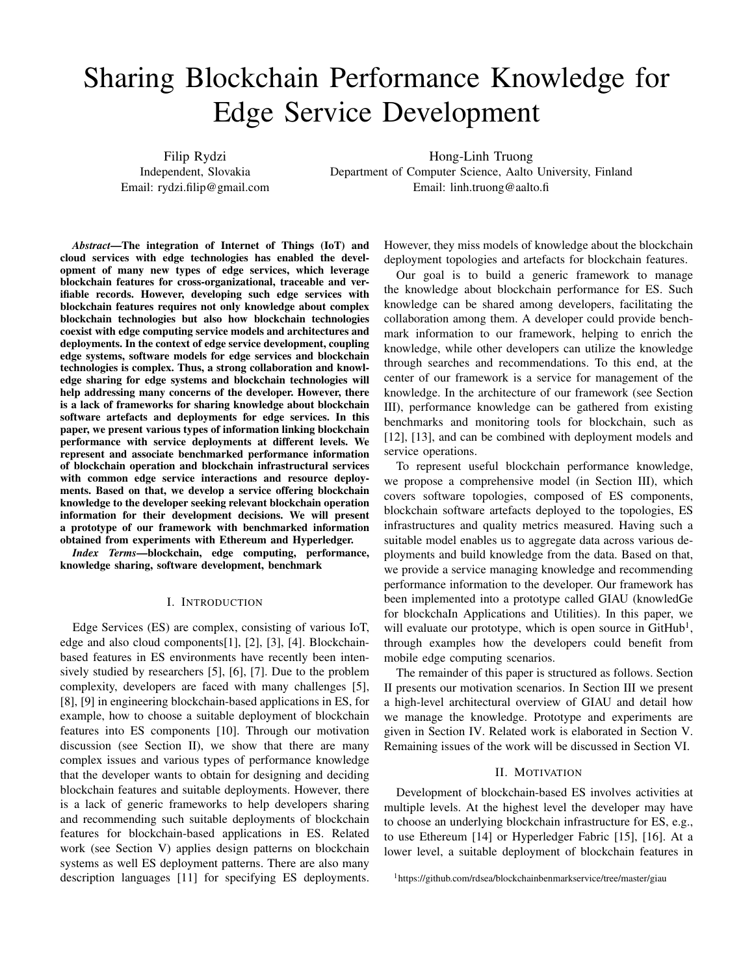# Sharing Blockchain Performance Knowledge for Edge Service Development

Filip Rydzi Independent, Slovakia Email: rydzi.filip@gmail.com

Hong-Linh Truong Department of Computer Science, Aalto University, Finland Email: linh.truong@aalto.fi

*Abstract*—The integration of Internet of Things (IoT) and cloud services with edge technologies has enabled the development of many new types of edge services, which leverage blockchain features for cross-organizational, traceable and verifiable records. However, developing such edge services with blockchain features requires not only knowledge about complex blockchain technologies but also how blockchain technologies coexist with edge computing service models and architectures and deployments. In the context of edge service development, coupling edge systems, software models for edge services and blockchain technologies is complex. Thus, a strong collaboration and knowledge sharing for edge systems and blockchain technologies will help addressing many concerns of the developer. However, there is a lack of frameworks for sharing knowledge about blockchain software artefacts and deployments for edge services. In this paper, we present various types of information linking blockchain performance with service deployments at different levels. We represent and associate benchmarked performance information of blockchain operation and blockchain infrastructural services with common edge service interactions and resource deployments. Based on that, we develop a service offering blockchain knowledge to the developer seeking relevant blockchain operation information for their development decisions. We will present a prototype of our framework with benchmarked information obtained from experiments with Ethereum and Hyperledger.

*Index Terms*—blockchain, edge computing, performance, knowledge sharing, software development, benchmark

#### I. INTRODUCTION

Edge Services (ES) are complex, consisting of various IoT, edge and also cloud components[1], [2], [3], [4]. Blockchainbased features in ES environments have recently been intensively studied by researchers [5], [6], [7]. Due to the problem complexity, developers are faced with many challenges [5], [8], [9] in engineering blockchain-based applications in ES, for example, how to choose a suitable deployment of blockchain features into ES components [10]. Through our motivation discussion (see Section II), we show that there are many complex issues and various types of performance knowledge that the developer wants to obtain for designing and deciding blockchain features and suitable deployments. However, there is a lack of generic frameworks to help developers sharing and recommending such suitable deployments of blockchain features for blockchain-based applications in ES. Related work (see Section V) applies design patterns on blockchain systems as well ES deployment patterns. There are also many description languages [11] for specifying ES deployments.

However, they miss models of knowledge about the blockchain deployment topologies and artefacts for blockchain features.

Our goal is to build a generic framework to manage the knowledge about blockchain performance for ES. Such knowledge can be shared among developers, facilitating the collaboration among them. A developer could provide benchmark information to our framework, helping to enrich the knowledge, while other developers can utilize the knowledge through searches and recommendations. To this end, at the center of our framework is a service for management of the knowledge. In the architecture of our framework (see Section III), performance knowledge can be gathered from existing benchmarks and monitoring tools for blockchain, such as [12], [13], and can be combined with deployment models and service operations.

To represent useful blockchain performance knowledge, we propose a comprehensive model (in Section III), which covers software topologies, composed of ES components, blockchain software artefacts deployed to the topologies, ES infrastructures and quality metrics measured. Having such a suitable model enables us to aggregate data across various deployments and build knowledge from the data. Based on that, we provide a service managing knowledge and recommending performance information to the developer. Our framework has been implemented into a prototype called GIAU (knowledGe for blockchaIn Applications and Utilities). In this paper, we will evaluate our prototype, which is open source in GitHub<sup>1</sup>, through examples how the developers could benefit from mobile edge computing scenarios.

The remainder of this paper is structured as follows. Section II presents our motivation scenarios. In Section III we present a high-level architectural overview of GIAU and detail how we manage the knowledge. Prototype and experiments are given in Section IV. Related work is elaborated in Section V. Remaining issues of the work will be discussed in Section VI.

#### II. MOTIVATION

Development of blockchain-based ES involves activities at multiple levels. At the highest level the developer may have to choose an underlying blockchain infrastructure for ES, e.g., to use Ethereum [14] or Hyperledger Fabric [15], [16]. At a lower level, a suitable deployment of blockchain features in

<sup>&</sup>lt;sup>1</sup>https://github.com/rdsea/blockchainbenmarkservice/tree/master/giau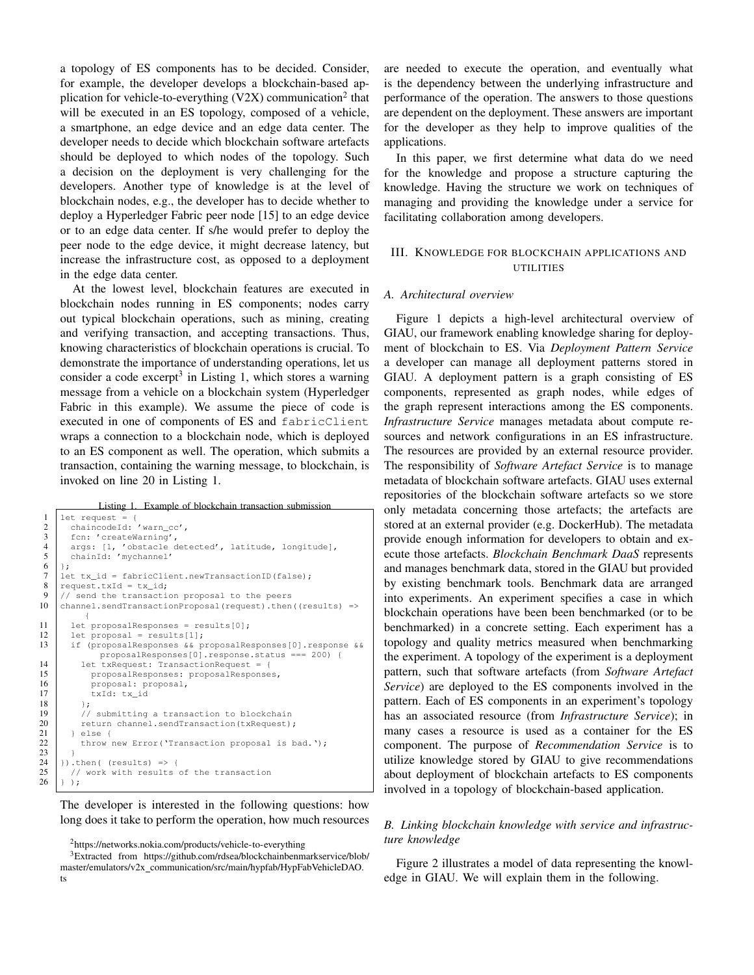a topology of ES components has to be decided. Consider, for example, the developer develops a blockchain-based application for vehicle-to-everything (V2X) communication<sup>2</sup> that will be executed in an ES topology, composed of a vehicle, a smartphone, an edge device and an edge data center. The developer needs to decide which blockchain software artefacts should be deployed to which nodes of the topology. Such a decision on the deployment is very challenging for the developers. Another type of knowledge is at the level of blockchain nodes, e.g., the developer has to decide whether to deploy a Hyperledger Fabric peer node [15] to an edge device or to an edge data center. If s/he would prefer to deploy the peer node to the edge device, it might decrease latency, but increase the infrastructure cost, as opposed to a deployment in the edge data center.

At the lowest level, blockchain features are executed in blockchain nodes running in ES components; nodes carry out typical blockchain operations, such as mining, creating and verifying transaction, and accepting transactions. Thus, knowing characteristics of blockchain operations is crucial. To demonstrate the importance of understanding operations, let us consider a code excerpt<sup>3</sup> in Listing 1, which stores a warning message from a vehicle on a blockchain system (Hyperledger Fabric in this example). We assume the piece of code is executed in one of components of ES and fabricClient wraps a connection to a blockchain node, which is deployed to an ES component as well. The operation, which submits a transaction, containing the warning message, to blockchain, is invoked on line 20 in Listing 1.

Listing 1. Example of blockchain transaction submission

```
\begin{array}{c|c} 1 & \text{let request} = \{ \\ 2 & \text{chaincodeId} \end{array}\begin{array}{c|c} 2 & \text{chaincodeId: 'warn\_cc',} \\ 3 & \text{fen: 'createWarning',} \end{array}3 fcn: 'createWarning',<br>4 args: [1, 'obstacle of
            args: [1, 'obstacle detected', latitude, longitude],
 \begin{bmatrix} 5 \\ 6 \end{bmatrix}: \begin{bmatrix} 5 \\ 1 \end{bmatrix}\begin{array}{c} 6 \\ 7 \end{array} \begin{array}{c} \end{array} \begin{array}{c} \end{array} \begin{array}{c} \end{array} \begin{array}{c} \end{array} \begin{array}{c} \end{array} \begin{array}{c} \end{array} \begin{array}{c} \end{array} \begin{array}{c} \end{array} \begin{array}{c} \end{array} \begin{array}{c} \end{array} \begin{array}{c} \end{array} \begin{array}{c} \end{array} \begin{array}{c} \end{array} \begin{array}{7 | let tx_id = fabricClient.newTransactionID(false);<br>8 | request.txId = tx id;
 \begin{array}{c|c} 8 & \text{request.txtId} = \text{tx_id}; \\ 9 & \text{if and the transfer} \end{array}9 // send the transaction proposal to the peers
10 channel.sendTransactionProposal(request).then((results) =>
{
11 let proposalResponses = results[0];
12 | let proposal = results[1];
13 if (proposalResponses && proposalResponses[0].response &&
                       proposalResponses[0].response.status === 200) {
14 let txRequest: TransactionRequest = {<br>15 proposalResponses: proposalResponse
                    proposalResponses: proposalResponses,
16 proposal: proposal,
17 | txId: tx_id
18 };
19 // submitting a transaction to blockchain<br>
20 / eturn channel.sendTransaction(txRequest)<br>
21 / else {
                return channel.sendTransaction(txRequest);
               else {
                throw new Error('Transaction proposal is bad.');
24 \vert }).then( (results) => {<br>25 \vert // work with results
            // work with results of the transaction
26 } );
```
The developer is interested in the following questions: how long does it take to perform the operation, how much resources are needed to execute the operation, and eventually what is the dependency between the underlying infrastructure and performance of the operation. The answers to those questions are dependent on the deployment. These answers are important for the developer as they help to improve qualities of the applications.

In this paper, we first determine what data do we need for the knowledge and propose a structure capturing the knowledge. Having the structure we work on techniques of managing and providing the knowledge under a service for facilitating collaboration among developers.

# III. KNOWLEDGE FOR BLOCKCHAIN APPLICATIONS AND UTILITIES

#### *A. Architectural overview*

Figure 1 depicts a high-level architectural overview of GIAU, our framework enabling knowledge sharing for deployment of blockchain to ES. Via *Deployment Pattern Service* a developer can manage all deployment patterns stored in GIAU. A deployment pattern is a graph consisting of ES components, represented as graph nodes, while edges of the graph represent interactions among the ES components. *Infrastructure Service* manages metadata about compute resources and network configurations in an ES infrastructure. The resources are provided by an external resource provider. The responsibility of *Software Artefact Service* is to manage metadata of blockchain software artefacts. GIAU uses external repositories of the blockchain software artefacts so we store only metadata concerning those artefacts; the artefacts are stored at an external provider (e.g. DockerHub). The metadata provide enough information for developers to obtain and execute those artefacts. *Blockchain Benchmark DaaS* represents and manages benchmark data, stored in the GIAU but provided by existing benchmark tools. Benchmark data are arranged into experiments. An experiment specifies a case in which blockchain operations have been been benchmarked (or to be benchmarked) in a concrete setting. Each experiment has a topology and quality metrics measured when benchmarking the experiment. A topology of the experiment is a deployment pattern, such that software artefacts (from *Software Artefact Service*) are deployed to the ES components involved in the pattern. Each of ES components in an experiment's topology has an associated resource (from *Infrastructure Service*); in many cases a resource is used as a container for the ES component. The purpose of *Recommendation Service* is to utilize knowledge stored by GIAU to give recommendations about deployment of blockchain artefacts to ES components involved in a topology of blockchain-based application.

# *B. Linking blockchain knowledge with service and infrastructure knowledge*

Figure 2 illustrates a model of data representing the knowledge in GIAU. We will explain them in the following.

<sup>2</sup>https://networks.nokia.com/products/vehicle-to-everything

<sup>3</sup>Extracted from https://github.com/rdsea/blockchainbenmarkservice/blob/ master/emulators/v2x\_communication/src/main/hypfab/HypFabVehicleDAO.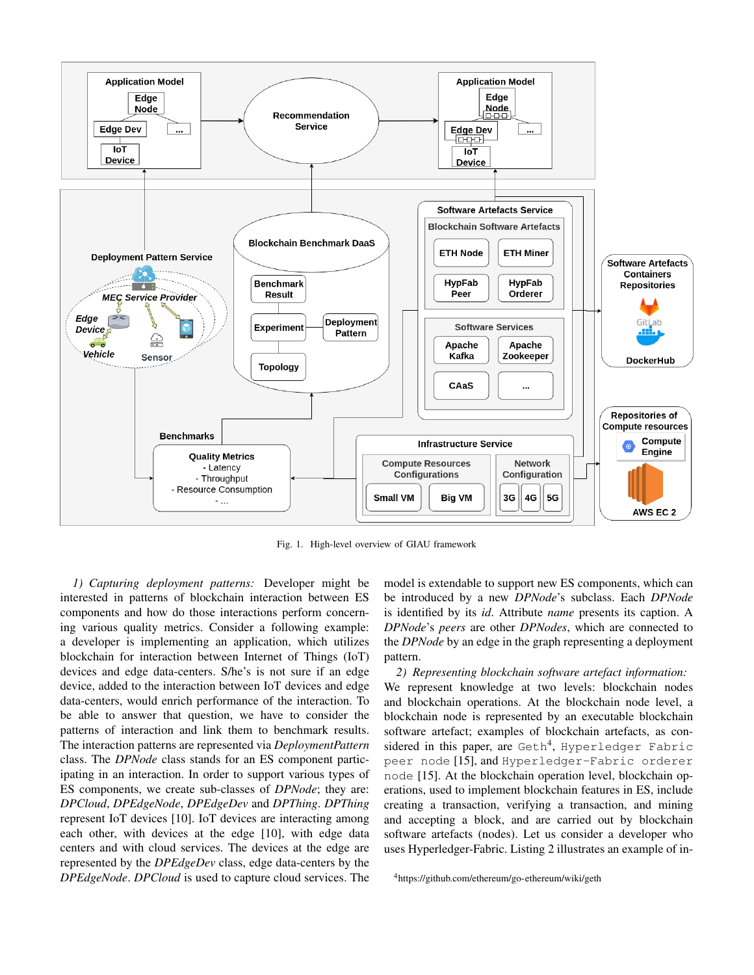

Fig. 1. High-level overview of GIAU framework

*1) Capturing deployment patterns:* Developer might be interested in patterns of blockchain interaction between ES components and how do those interactions perform concerning various quality metrics. Consider a following example: a developer is implementing an application, which utilizes blockchain for interaction between Internet of Things (IoT) devices and edge data-centers. S/he's is not sure if an edge device, added to the interaction between IoT devices and edge data-centers, would enrich performance of the interaction. To be able to answer that question, we have to consider the patterns of interaction and link them to benchmark results. The interaction patterns are represented via *DeploymentPattern* class. The *DPNode* class stands for an ES component participating in an interaction. In order to support various types of ES components, we create sub-classes of *DPNode*; they are: *DPCloud*, *DPEdgeNode*, *DPEdgeDev* and *DPThing*. *DPThing* represent IoT devices [10]. IoT devices are interacting among each other, with devices at the edge [10], with edge data centers and with cloud services. The devices at the edge are represented by the *DPEdgeDev* class, edge data-centers by the *DPEdgeNode*. *DPCloud* is used to capture cloud services. The

model is extendable to support new ES components, which can be introduced by a new *DPNode*'s subclass. Each *DPNode* is identified by its *id*. Attribute *name* presents its caption. A *DPNode*'s *peers* are other *DPNodes*, which are connected to the *DPNode* by an edge in the graph representing a deployment pattern.

*2) Representing blockchain software artefact information:* We represent knowledge at two levels: blockchain nodes and blockchain operations. At the blockchain node level, a blockchain node is represented by an executable blockchain software artefact; examples of blockchain artefacts, as considered in this paper, are  $\operatorname{Geth}^4$ , Hyperledger Fabric peer node [15], and Hyperledger-Fabric orderer node [15]. At the blockchain operation level, blockchain operations, used to implement blockchain features in ES, include creating a transaction, verifying a transaction, and mining and accepting a block, and are carried out by blockchain software artefacts (nodes). Let us consider a developer who uses Hyperledger-Fabric. Listing 2 illustrates an example of in-

<sup>4</sup>https://github.com/ethereum/go-ethereum/wiki/geth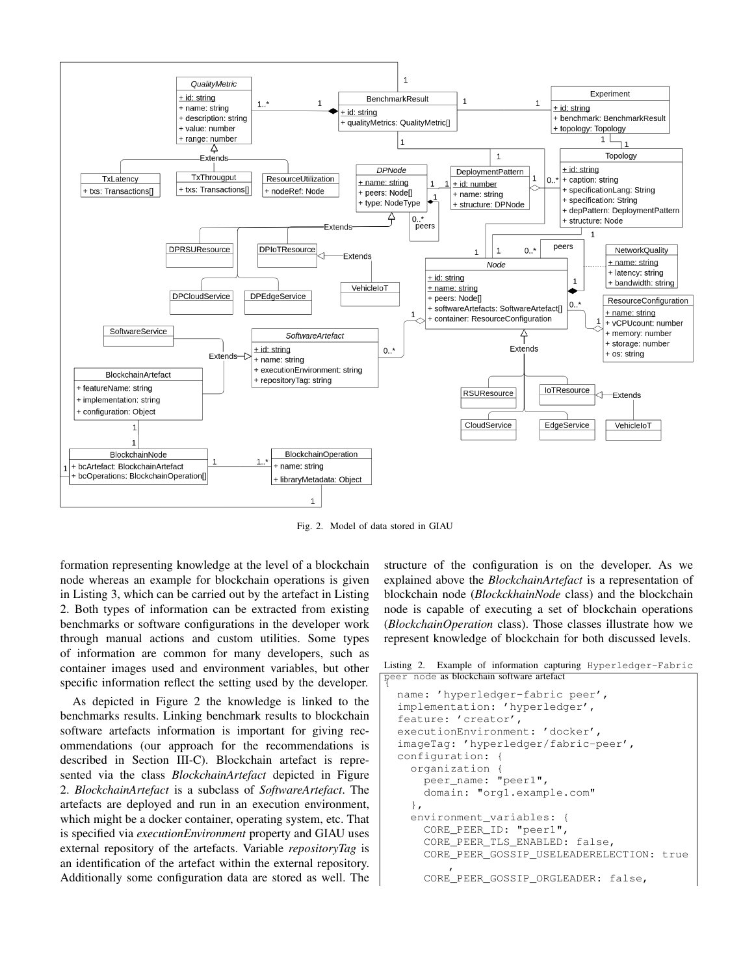

Fig. 2. Model of data stored in GIAU

formation representing knowledge at the level of a blockchain node whereas an example for blockchain operations is given in Listing 3, which can be carried out by the artefact in Listing 2. Both types of information can be extracted from existing benchmarks or software configurations in the developer work through manual actions and custom utilities. Some types of information are common for many developers, such as container images used and environment variables, but other specific information reflect the setting used by the developer.

As depicted in Figure 2 the knowledge is linked to the benchmarks results. Linking benchmark results to blockchain software artefacts information is important for giving recommendations (our approach for the recommendations is described in Section III-C). Blockchain artefact is represented via the class *BlockchainArtefact* depicted in Figure 2. *BlockchainArtefact* is a subclass of *SoftwareArtefact*. The artefacts are deployed and run in an execution environment, which might be a docker container, operating system, etc. That is specified via *executionEnvironment* property and GIAU uses external repository of the artefacts. Variable *repositoryTag* is an identification of the artefact within the external repository. Additionally some configuration data are stored as well. The

structure of the configuration is on the developer. As we explained above the *BlockchainArtefact* is a representation of blockchain node (*BlockckhainNode* class) and the blockchain node is capable of executing a set of blockchain operations (*BlockchainOperation* class). Those classes illustrate how we represent knowledge of blockchain for both discussed levels.

Listing 2. Example of information capturing Hyperledger-Fabric peer node as blockchain software artefact

```
name: 'hyperledger-fabric peer',
implementation: 'hyperledger',
feature: 'creator',
executionEnvironment: 'docker',
imageTag: 'hyperledger/fabric-peer',
configuration: {
 organization {
   peer_name: "peer1",
    domain: "org1.example.com"
  },
 environment_variables: {
    CORE_PEER_ID: "peer1",
    CORE PEER TLS ENABLED: false,
    CORE_PEER_GOSSIP_USELEADERELECTION: true
        ,
    CORE_PEER_GOSSIP_ORGLEADER: false,
```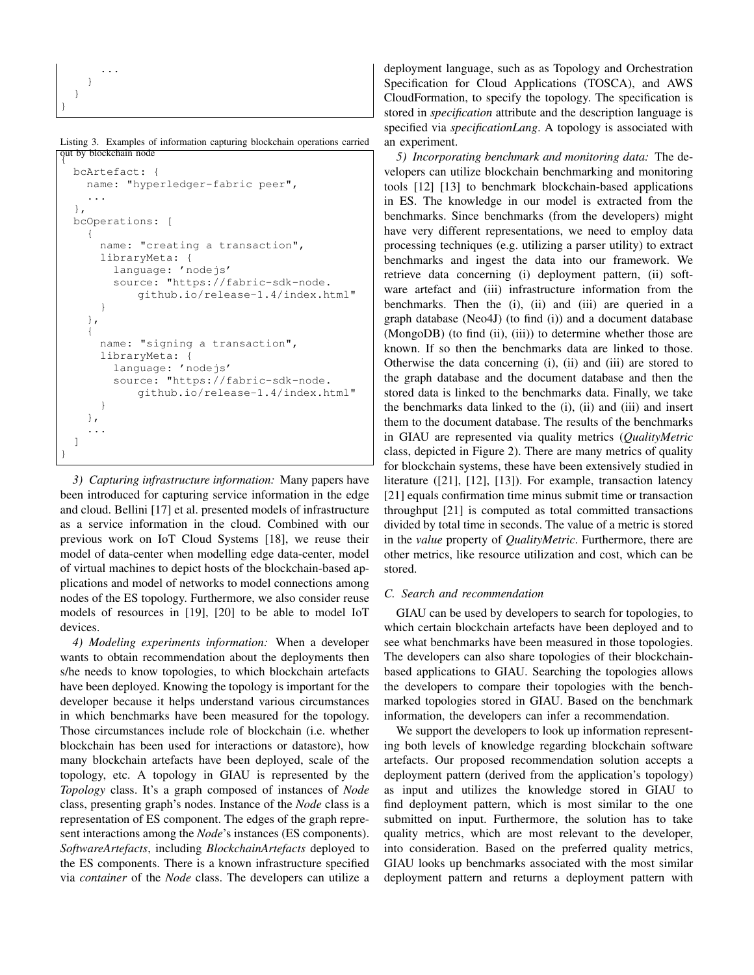```
...
      }
   }
}
```
Listing 3. Examples of information capturing blockchain operations carried out by blockchain node {

```
bcArtefact: {
    name: "hyperledger-fabric peer",
    ...
 },
 bcOperations: [
    {
      name: "creating a transaction",
      libraryMeta: {
        language: 'nodejs'
        source: "https://fabric-sdk-node.
            github.io/release-1.4/index.html"
      }
   },
    {
      name: "signing a transaction",
      libraryMeta: {
        language: 'nodejs'
        source: "https://fabric-sdk-node.
            github.io/release-1.4/index.html"
      }
    },
    ...
 ]
}
```
*3) Capturing infrastructure information:* Many papers have been introduced for capturing service information in the edge and cloud. Bellini [17] et al. presented models of infrastructure as a service information in the cloud. Combined with our previous work on IoT Cloud Systems [18], we reuse their model of data-center when modelling edge data-center, model of virtual machines to depict hosts of the blockchain-based applications and model of networks to model connections among nodes of the ES topology. Furthermore, we also consider reuse models of resources in [19], [20] to be able to model IoT devices.

*4) Modeling experiments information:* When a developer wants to obtain recommendation about the deployments then s/he needs to know topologies, to which blockchain artefacts have been deployed. Knowing the topology is important for the developer because it helps understand various circumstances in which benchmarks have been measured for the topology. Those circumstances include role of blockchain (i.e. whether blockchain has been used for interactions or datastore), how many blockchain artefacts have been deployed, scale of the topology, etc. A topology in GIAU is represented by the *Topology* class. It's a graph composed of instances of *Node* class, presenting graph's nodes. Instance of the *Node* class is a representation of ES component. The edges of the graph represent interactions among the *Node*'s instances (ES components). *SoftwareArtefacts*, including *BlockchainArtefacts* deployed to the ES components. There is a known infrastructure specified via *container* of the *Node* class. The developers can utilize a deployment language, such as as Topology and Orchestration Specification for Cloud Applications (TOSCA), and AWS CloudFormation, to specify the topology. The specification is stored in *specification* attribute and the description language is specified via *specificationLang*. A topology is associated with an experiment.

*5) Incorporating benchmark and monitoring data:* The developers can utilize blockchain benchmarking and monitoring tools [12] [13] to benchmark blockchain-based applications in ES. The knowledge in our model is extracted from the benchmarks. Since benchmarks (from the developers) might have very different representations, we need to employ data processing techniques (e.g. utilizing a parser utility) to extract benchmarks and ingest the data into our framework. We retrieve data concerning (i) deployment pattern, (ii) software artefact and (iii) infrastructure information from the benchmarks. Then the (i), (ii) and (iii) are queried in a graph database (Neo4J) (to find (i)) and a document database (MongoDB) (to find (ii), (iii)) to determine whether those are known. If so then the benchmarks data are linked to those. Otherwise the data concerning (i), (ii) and (iii) are stored to the graph database and the document database and then the stored data is linked to the benchmarks data. Finally, we take the benchmarks data linked to the (i), (ii) and (iii) and insert them to the document database. The results of the benchmarks in GIAU are represented via quality metrics (*QualityMetric* class, depicted in Figure 2). There are many metrics of quality for blockchain systems, these have been extensively studied in literature ([21], [12], [13]). For example, transaction latency [21] equals confirmation time minus submit time or transaction throughput [21] is computed as total committed transactions divided by total time in seconds. The value of a metric is stored in the *value* property of *QualityMetric*. Furthermore, there are other metrics, like resource utilization and cost, which can be stored.

# *C. Search and recommendation*

GIAU can be used by developers to search for topologies, to which certain blockchain artefacts have been deployed and to see what benchmarks have been measured in those topologies. The developers can also share topologies of their blockchainbased applications to GIAU. Searching the topologies allows the developers to compare their topologies with the benchmarked topologies stored in GIAU. Based on the benchmark information, the developers can infer a recommendation.

We support the developers to look up information representing both levels of knowledge regarding blockchain software artefacts. Our proposed recommendation solution accepts a deployment pattern (derived from the application's topology) as input and utilizes the knowledge stored in GIAU to find deployment pattern, which is most similar to the one submitted on input. Furthermore, the solution has to take quality metrics, which are most relevant to the developer, into consideration. Based on the preferred quality metrics, GIAU looks up benchmarks associated with the most similar deployment pattern and returns a deployment pattern with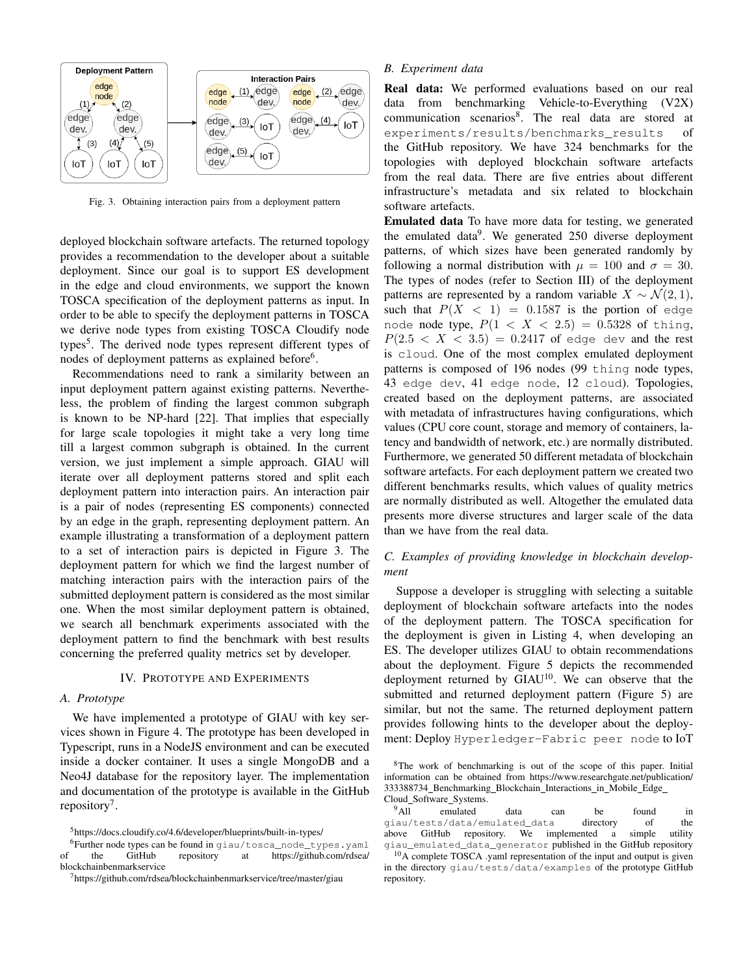

Fig. 3. Obtaining interaction pairs from a deployment pattern

deployed blockchain software artefacts. The returned topology provides a recommendation to the developer about a suitable deployment. Since our goal is to support ES development in the edge and cloud environments, we support the known TOSCA specification of the deployment patterns as input. In order to be able to specify the deployment patterns in TOSCA we derive node types from existing TOSCA Cloudify node types<sup>5</sup>. The derived node types represent different types of nodes of deployment patterns as explained before<sup>6</sup>.

Recommendations need to rank a similarity between an input deployment pattern against existing patterns. Nevertheless, the problem of finding the largest common subgraph is known to be NP-hard [22]. That implies that especially for large scale topologies it might take a very long time till a largest common subgraph is obtained. In the current version, we just implement a simple approach. GIAU will iterate over all deployment patterns stored and split each deployment pattern into interaction pairs. An interaction pair is a pair of nodes (representing ES components) connected by an edge in the graph, representing deployment pattern. An example illustrating a transformation of a deployment pattern to a set of interaction pairs is depicted in Figure 3. The deployment pattern for which we find the largest number of matching interaction pairs with the interaction pairs of the submitted deployment pattern is considered as the most similar one. When the most similar deployment pattern is obtained, we search all benchmark experiments associated with the deployment pattern to find the benchmark with best results concerning the preferred quality metrics set by developer.

#### IV. PROTOTYPE AND EXPERIMENTS

#### *A. Prototype*

We have implemented a prototype of GIAU with key services shown in Figure 4. The prototype has been developed in Typescript, runs in a NodeJS environment and can be executed inside a docker container. It uses a single MongoDB and a Neo4J database for the repository layer. The implementation and documentation of the prototype is available in the GitHub repository<sup>7</sup>.

## *B. Experiment data*

Real data: We performed evaluations based on our real data from benchmarking Vehicle-to-Everything (V2X) communication scenarios<sup>8</sup>. The real data are stored at experiments/results/benchmarks results of the GitHub repository. We have 324 benchmarks for the topologies with deployed blockchain software artefacts from the real data. There are five entries about different infrastructure's metadata and six related to blockchain software artefacts.

Emulated data To have more data for testing, we generated the emulated data $9$ . We generated 250 diverse deployment patterns, of which sizes have been generated randomly by following a normal distribution with  $\mu = 100$  and  $\sigma = 30$ . The types of nodes (refer to Section III) of the deployment patterns are represented by a random variable  $X \sim \mathcal{N}(2, 1)$ , such that  $P(X \leq 1) = 0.1587$  is the portion of edge node node type,  $P(1 < X < 2.5) = 0.5328$  of thing,  $P(2.5 < X < 3.5) = 0.2417$  of edge dev and the rest is cloud. One of the most complex emulated deployment patterns is composed of 196 nodes (99 thing node types, 43 edge dev, 41 edge node, 12 cloud). Topologies, created based on the deployment patterns, are associated with metadata of infrastructures having configurations, which values (CPU core count, storage and memory of containers, latency and bandwidth of network, etc.) are normally distributed. Furthermore, we generated 50 different metadata of blockchain software artefacts. For each deployment pattern we created two different benchmarks results, which values of quality metrics are normally distributed as well. Altogether the emulated data presents more diverse structures and larger scale of the data than we have from the real data.

# *C. Examples of providing knowledge in blockchain development*

Suppose a developer is struggling with selecting a suitable deployment of blockchain software artefacts into the nodes of the deployment pattern. The TOSCA specification for the deployment is given in Listing 4, when developing an ES. The developer utilizes GIAU to obtain recommendations about the deployment. Figure 5 depicts the recommended deployment returned by  $GIAU<sup>10</sup>$ . We can observe that the submitted and returned deployment pattern (Figure 5) are similar, but not the same. The returned deployment pattern provides following hints to the developer about the deployment: Deploy Hyperledger-Fabric peer node to IoT

<sup>5</sup>https://docs.cloudify.co/4.6/developer/blueprints/built-in-types/

<sup>6</sup>Further node types can be found in giau/tosca\_node\_types.yaml of the GitHub repository at https://github.com/rdsea/ blockchainbenmarkservice

<sup>7</sup>https://github.com/rdsea/blockchainbenmarkservice/tree/master/giau

<sup>8</sup>The work of benchmarking is out of the scope of this paper. Initial information can be obtained from https://www.researchgate.net/publication/ 333388734 Benchmarking Blockchain Interactions in Mobile Edge

Cloud\_Software\_Systems.<br><sup>9</sup>All emulated <sup>9</sup>All emulated data can be found in giau/tests/data/emulated\_data directory of the above GitHub repository. We implemented a simple giau\_emulated\_data\_generator published in the GitHub repository

<sup>10</sup>A complete TOSCA .yaml representation of the input and output is given in the directory giau/tests/data/examples of the prototype GitHub repository.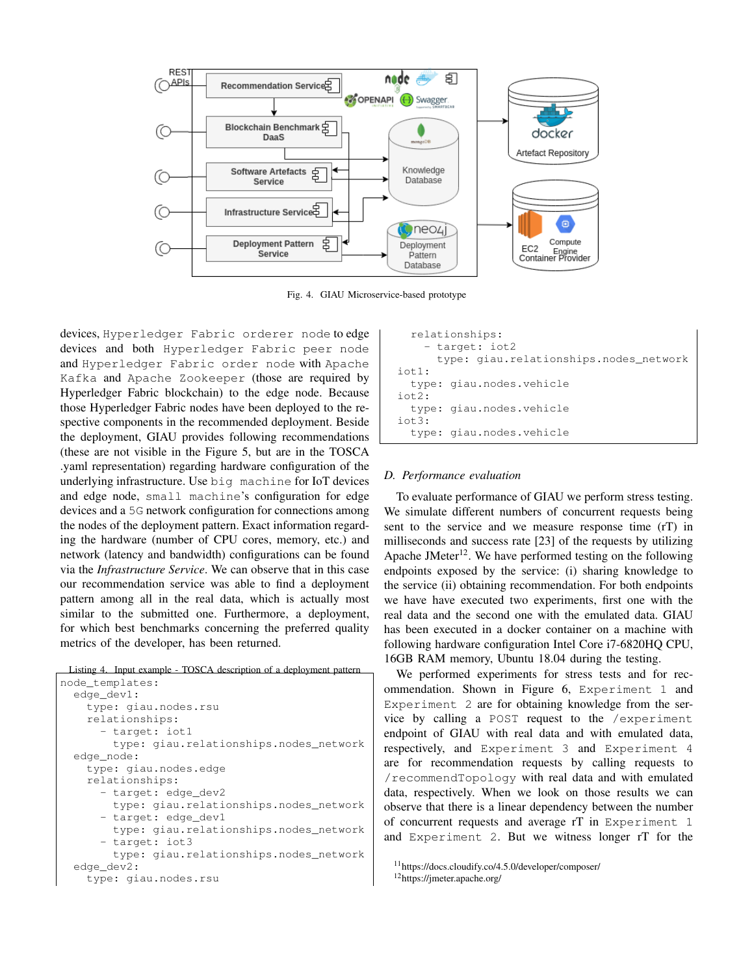

Fig. 4. GIAU Microservice-based prototype

devices, Hyperledger Fabric orderer node to edge devices and both Hyperledger Fabric peer node and Hyperledger Fabric order node with Apache Kafka and Apache Zookeeper (those are required by Hyperledger Fabric blockchain) to the edge node. Because those Hyperledger Fabric nodes have been deployed to the respective components in the recommended deployment. Beside the deployment, GIAU provides following recommendations (these are not visible in the Figure 5, but are in the TOSCA .yaml representation) regarding hardware configuration of the underlying infrastructure. Use big machine for IoT devices and edge node, small machine's configuration for edge devices and a 5G network configuration for connections among the nodes of the deployment pattern. Exact information regarding the hardware (number of CPU cores, memory, etc.) and network (latency and bandwidth) configurations can be found via the *Infrastructure Service*. We can observe that in this case our recommendation service was able to find a deployment pattern among all in the real data, which is actually most similar to the submitted one. Furthermore, a deployment, for which best benchmarks concerning the preferred quality metrics of the developer, has been returned.

Listing 4. Input example - TOSCA description of a deployment pattern

```
node_templates:
  edge_dev1:
    type: giau.nodes.rsu
    relationships:
      - target: iot1
        type: giau.relationships.nodes_network
  edge_node:
    type: giau.nodes.edge
   relationships:
      - target: edge_dev2
        type: giau.relationships.nodes_network
        target: edge_dev1
        type: giau.relationships.nodes_network
        target: iot3
        type: giau.relationships.nodes_network
  edge_dev2:
    type: giau.nodes.rsu
```

```
relationships:
    - target: iot2
      type: giau.relationships.nodes_network
i ot 1:type: giau.nodes.vehicle
iot2:
  type: giau.nodes.vehicle
i of 3:type: giau.nodes.vehicle
```
#### *D. Performance evaluation*

To evaluate performance of GIAU we perform stress testing. We simulate different numbers of concurrent requests being sent to the service and we measure response time (rT) in milliseconds and success rate [23] of the requests by utilizing Apache JMeter<sup>12</sup>. We have performed testing on the following endpoints exposed by the service: (i) sharing knowledge to the service (ii) obtaining recommendation. For both endpoints we have have executed two experiments, first one with the real data and the second one with the emulated data. GIAU has been executed in a docker container on a machine with following hardware configuration Intel Core i7-6820HQ CPU, 16GB RAM memory, Ubuntu 18.04 during the testing.

We performed experiments for stress tests and for recommendation. Shown in Figure 6, Experiment 1 and Experiment 2 are for obtaining knowledge from the service by calling a POST request to the /experiment endpoint of GIAU with real data and with emulated data, respectively, and Experiment 3 and Experiment 4 are for recommendation requests by calling requests to /recommendTopology with real data and with emulated data, respectively. When we look on those results we can observe that there is a linear dependency between the number of concurrent requests and average rT in Experiment 1 and Experiment 2. But we witness longer rT for the

```
12https://jmeter.apache.org/
```
<sup>11</sup>https://docs.cloudify.co/4.5.0/developer/composer/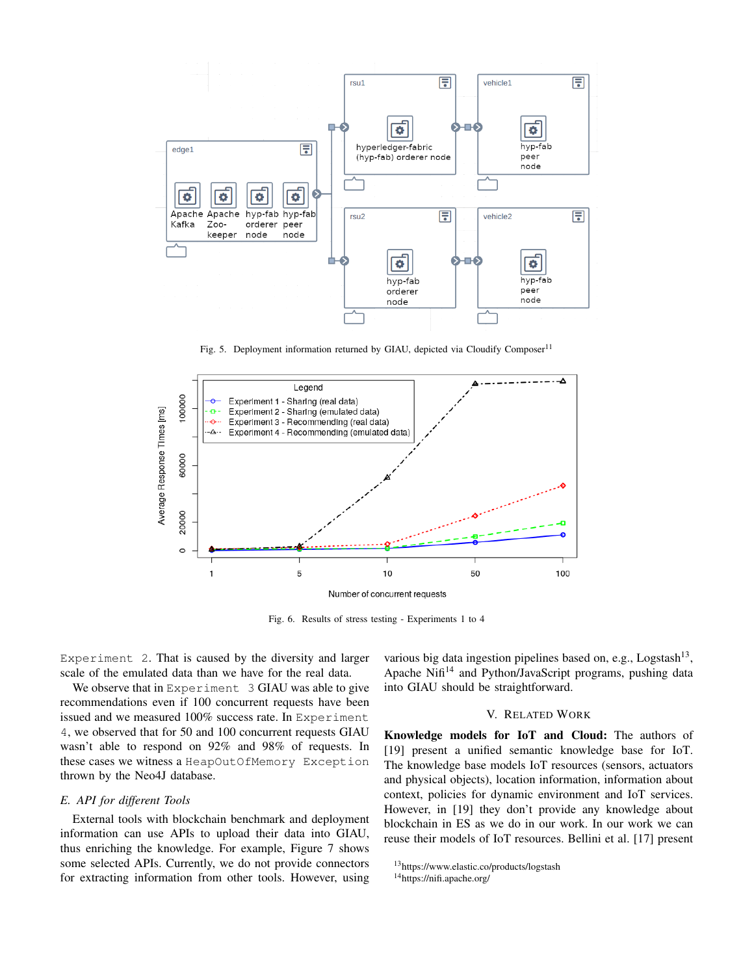

Fig. 5. Deployment information returned by GIAU, depicted via Cloudify Composer<sup>11</sup>



Fig. 6. Results of stress testing - Experiments 1 to 4

Experiment 2. That is caused by the diversity and larger scale of the emulated data than we have for the real data.

We observe that in Experiment 3 GIAU was able to give recommendations even if 100 concurrent requests have been issued and we measured 100% success rate. In Experiment 4, we observed that for 50 and 100 concurrent requests GIAU wasn't able to respond on 92% and 98% of requests. In these cases we witness a HeapOutOfMemory Exception thrown by the Neo4J database.

# *E. API for different Tools*

External tools with blockchain benchmark and deployment information can use APIs to upload their data into GIAU, thus enriching the knowledge. For example, Figure 7 shows some selected APIs. Currently, we do not provide connectors for extracting information from other tools. However, using

various big data ingestion pipelines based on, e.g., Logstash<sup>13</sup>, Apache Nifi<sup>14</sup> and Python/JavaScript programs, pushing data into GIAU should be straightforward.

## V. RELATED WORK

Knowledge models for IoT and Cloud: The authors of [19] present a unified semantic knowledge base for IoT. The knowledge base models IoT resources (sensors, actuators and physical objects), location information, information about context, policies for dynamic environment and IoT services. However, in [19] they don't provide any knowledge about blockchain in ES as we do in our work. In our work we can reuse their models of IoT resources. Bellini et al. [17] present

<sup>13</sup>https://www.elastic.co/products/logstash

<sup>14</sup>https://nifi.apache.org/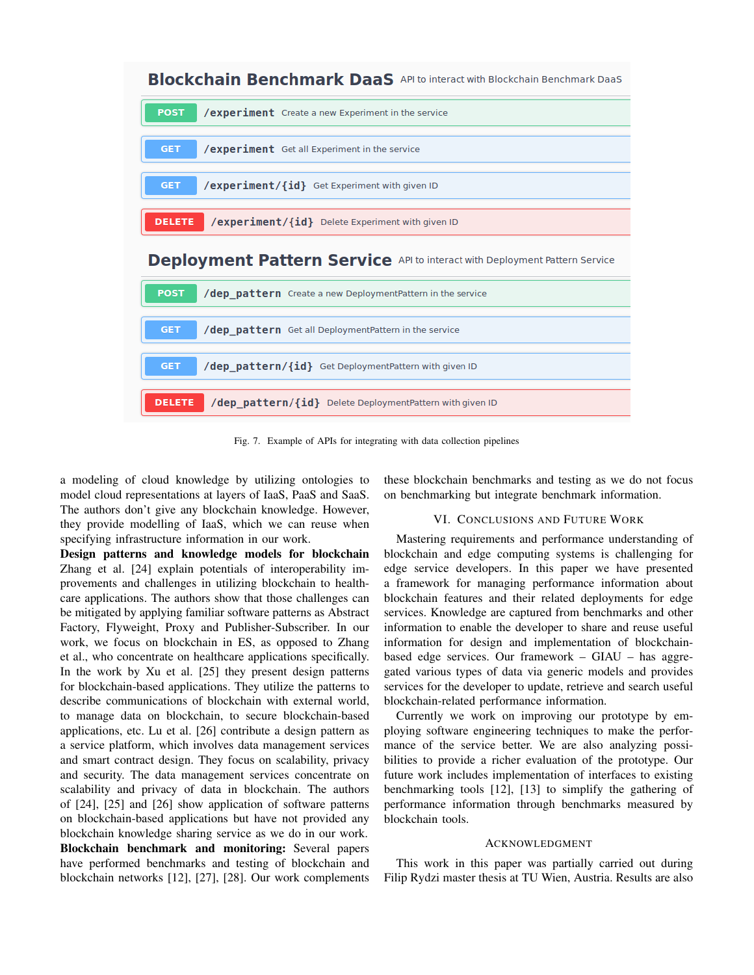

Fig. 7. Example of APIs for integrating with data collection pipelines

a modeling of cloud knowledge by utilizing ontologies to model cloud representations at layers of IaaS, PaaS and SaaS. The authors don't give any blockchain knowledge. However, they provide modelling of IaaS, which we can reuse when specifying infrastructure information in our work.

Design patterns and knowledge models for blockchain Zhang et al. [24] explain potentials of interoperability improvements and challenges in utilizing blockchain to healthcare applications. The authors show that those challenges can be mitigated by applying familiar software patterns as Abstract Factory, Flyweight, Proxy and Publisher-Subscriber. In our work, we focus on blockchain in ES, as opposed to Zhang et al., who concentrate on healthcare applications specifically. In the work by Xu et al. [25] they present design patterns for blockchain-based applications. They utilize the patterns to describe communications of blockchain with external world, to manage data on blockchain, to secure blockchain-based applications, etc. Lu et al. [26] contribute a design pattern as a service platform, which involves data management services and smart contract design. They focus on scalability, privacy and security. The data management services concentrate on scalability and privacy of data in blockchain. The authors of [24], [25] and [26] show application of software patterns on blockchain-based applications but have not provided any blockchain knowledge sharing service as we do in our work. Blockchain benchmark and monitoring: Several papers have performed benchmarks and testing of blockchain and blockchain networks [12], [27], [28]. Our work complements

these blockchain benchmarks and testing as we do not focus on benchmarking but integrate benchmark information.

#### VI. CONCLUSIONS AND FUTURE WORK

Mastering requirements and performance understanding of blockchain and edge computing systems is challenging for edge service developers. In this paper we have presented a framework for managing performance information about blockchain features and their related deployments for edge services. Knowledge are captured from benchmarks and other information to enable the developer to share and reuse useful information for design and implementation of blockchainbased edge services. Our framework – GIAU – has aggregated various types of data via generic models and provides services for the developer to update, retrieve and search useful blockchain-related performance information.

Currently we work on improving our prototype by employing software engineering techniques to make the performance of the service better. We are also analyzing possibilities to provide a richer evaluation of the prototype. Our future work includes implementation of interfaces to existing benchmarking tools [12], [13] to simplify the gathering of performance information through benchmarks measured by blockchain tools.

#### ACKNOWLEDGMENT

This work in this paper was partially carried out during Filip Rydzi master thesis at TU Wien, Austria. Results are also